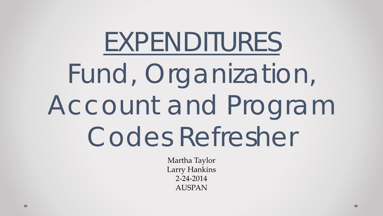# EXPENDITURES Fund, Organization, Account and Program Codes Refresher

Martha Taylor Larry Hankins 2-24-2014 AUSPAN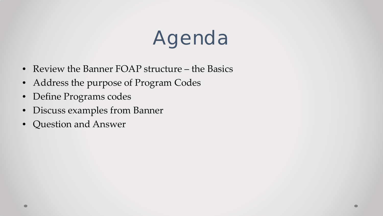# Agenda

- Review the Banner FOAP structure the Basics
- Address the purpose of Program Codes
- Define Programs codes
- Discuss examples from Banner
- Question and Answer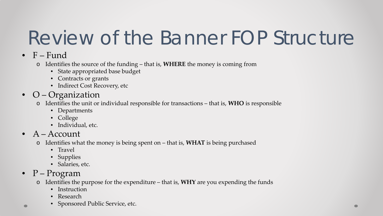# Review of the Banner FOP Structure

- $\bullet$  F Fund
	- o Identifies the source of the funding that is, **WHERE** the money is coming from
		- State appropriated base budget
		- Contracts or grants
		- Indirect Cost Recovery, etc
- O Organization
	- o Identifies the unit or individual responsible for transactions that is, **WHO** is responsible
		- Departments
		- College
		- Individual, etc.
- A Account
	- o Identifies what the money is being spent on that is, **WHAT** is being purchased
		- Travel
		- Supplies
		- Salaries, etc.
- $P Program$ 
	- o Identifies the purpose for the expenditure that is, **WHY** are you expending the funds
		- Instruction
		- Research
		- Sponsored Public Service, etc.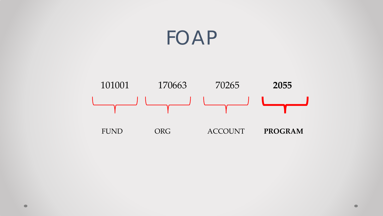#### FOAP

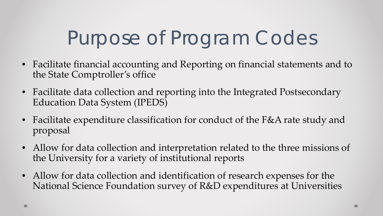# Purpose of Program Codes

- Facilitate financial accounting and Reporting on financial statements and to the State Comptroller's office
- Facilitate data collection and reporting into the Integrated Postsecondary Education Data System (IPEDS)
- Facilitate expenditure classification for conduct of the F&A rate study and proposal
- Allow for data collection and interpretation related to the three missions of the University for a variety of institutional reports
- Allow for data collection and identification of research expenses for the National Science Foundation survey of R&D expenditures at Universities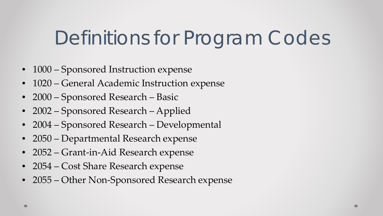# Definitions for Program Codes

- 1000 Sponsored Instruction expense
- 1020 General Academic Instruction expense
- 2000 Sponsored Research Basic
- 2002 Sponsored Research Applied
- 2004 Sponsored Research Developmental
- 2050 Departmental Research expense
- 2052 Grant-in-Aid Research expense
- 2054 Cost Share Research expense
- 2055 Other Non-Sponsored Research expense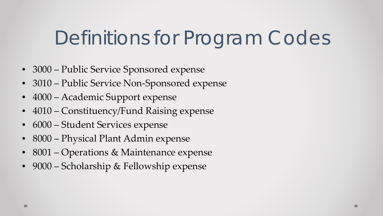## Definitions for Program Codes

- 3000 Public Service Sponsored expense
- 3010 Public Service Non-Sponsored expense
- 4000 Academic Support expense
- 4010 Constituency/Fund Raising expense
- $6000$  Student Services expense
- 8000 Physical Plant Admin expense
- 8001 Operations & Maintenance expense
- 9000 Scholarship & Fellowship expense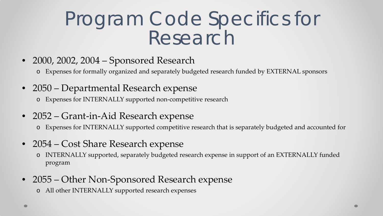### Program Code Specifics for Research

- 2000, 2002, 2004 Sponsored Research
	- o Expenses for formally organized and separately budgeted research funded by EXTERNAL sponsors
- 2050 Departmental Research expense o Expenses for INTERNALLY supported non-competitive research
- 2052 Grant-in-Aid Research expense
	- o Expenses for INTERNALLY supported competitive research that is separately budgeted and accounted for
- 2054 Cost Share Research expense
	- o INTERNALLY supported, separately budgeted research expense in support of an EXTERNALLY funded program
- 2055 Other Non-Sponsored Research expense
	- o All other INTERNALLY supported research expenses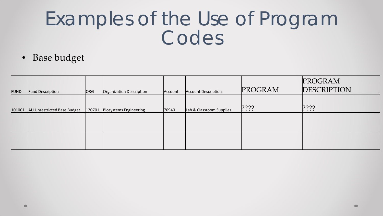| FUND   | <b>Fund Description</b>            | ORG    | Organization Description | Account | <b>Account Description</b> | PROGRAM   | PROGRAM<br><b>DESCRIPTION</b> |
|--------|------------------------------------|--------|--------------------------|---------|----------------------------|-----------|-------------------------------|
| 101001 | <b>AU Unrestricted Base Budget</b> | 120701 | Biosystems Engineering   | 70940   | Lab & Classroom Supplies   | $ ??\; ?$ | $ ??\;?$                      |
|        |                                    |        |                          |         |                            |           |                               |
|        |                                    |        |                          |         |                            |           |                               |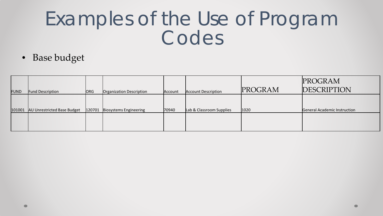| FUND   | <b>Fund Description</b>     | ORG    | Organization Description | Account | <b>Account Description</b> | PROGRAM | PROGRAM<br><b>DESCRIPTION</b> |
|--------|-----------------------------|--------|--------------------------|---------|----------------------------|---------|-------------------------------|
| 101001 | AU Unrestricted Base Budget | 120701 | Biosystems Engineering   | 70940   | Lab & Classroom Supplies   | 1020    | General Academic Instruction  |
|        |                             |        |                          |         |                            |         |                               |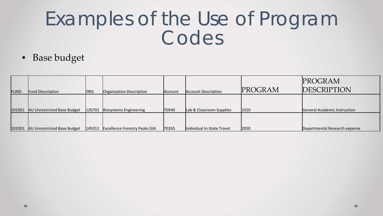| FUND   | <b>Fund Description</b>     | <b>ORG</b> | Organization Description             | Account | <b>Account Description</b> | PROGRAM | PROGRAM<br><b>DESCRIPTION</b> |
|--------|-----------------------------|------------|--------------------------------------|---------|----------------------------|---------|-------------------------------|
| 101001 | AU Unrestricted Base Budget | 120701     | Biosystems Engineering               | 70940   | Lab & Classroom Supplies   | 1020    | General Academic Instruction  |
| 101001 | AU Unrestricted Base Budget | 145012     | <b>Excellence Forestry Peaks GIA</b> | 70265   | Individual In-State Travel | 2050    | Departmental Research expense |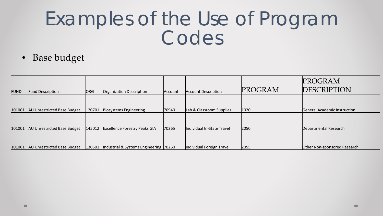| FUND   | <b>Fund Description</b>     | ORG    | Organization Description               | Account | <b>Account Description</b> | PROGRAM | PROGRAM<br><b>DESCRIPTION</b> |
|--------|-----------------------------|--------|----------------------------------------|---------|----------------------------|---------|-------------------------------|
| 101001 | AU Unrestricted Base Budget | 120701 | Biosystems Engineering                 | 70940   | Lab & Classroom Supplies   | 1020    | General Academic Instruction  |
| 101001 | AU Unrestricted Base Budget | 145012 | <b>Excellence Forestry Peaks GIA</b>   | 70265   | Individual In-State Travel | 2050    | Departmental Research         |
| 101001 | AU Unrestricted Base Budget | 130501 | Industrial & Systems Engineering 70260 |         | Individual Foreign Travel  | 2055    | Other Non-sponsored Research  |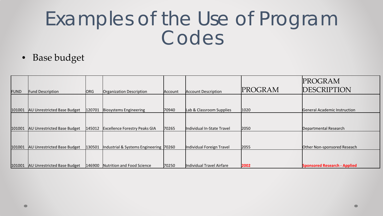| FUND   | <b>Fund Description</b>            | ORG    | Organization Description               | Account | <b>Account Description</b> | PROGRAM | PROGRAM<br><b>DESCRIPTION</b>       |
|--------|------------------------------------|--------|----------------------------------------|---------|----------------------------|---------|-------------------------------------|
| 101001 | <b>AU Unrestricted Base Budget</b> | 120701 | Biosystems Engineering                 | 70940   | Lab & Classroom Supplies   | 1020    | General Academic Instruction        |
| 101001 | AU Unrestricted Base Budget        | 145012 | <b>Excellence Forestry Peaks GIA</b>   | 70265   | Individual In-State Travel | 2050    | Departmental Research               |
| 101001 | AU Unrestricted Base Budget        | 130501 | Industrial & Systems Engineering 70260 |         | Individual Foreign Travel  | 2055    | Other Non-sponsored Reseach         |
| 101001 | <b>AU Unrestricted Base Budget</b> | 146900 | Nutrition and Food Science             | 70250   | Individual Travel Airfare  | 2002    | <b>Sponsored Research - Applied</b> |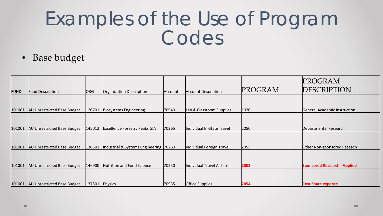|             |                                    |                |                                        |         |                            |         | PROGRAM                             |
|-------------|------------------------------------|----------------|----------------------------------------|---------|----------------------------|---------|-------------------------------------|
| <b>FUND</b> | <b>Fund Description</b>            | ORG            | Organization Description               | Account | <b>Account Description</b> | PROGRAM | DESCRIPTION                         |
|             |                                    |                |                                        |         |                            |         |                                     |
| 101001      | <b>AU Unrestricted Base Budget</b> | 120701         | Biosystems Engineering                 | 70940   | Lab & Classroom Supplies   | 1020    | General Academic Instruction        |
|             |                                    |                |                                        |         |                            |         |                                     |
| 101001      | AU Unrestricted Base Budget        | 145012         | <b>Excellence Forestry Peaks GIA</b>   | 70265   | Individual In-State Travel | 2050    | Departmental Research               |
|             |                                    |                |                                        |         |                            |         |                                     |
| 101001      | <b>AU Unrestricted Base Budget</b> | 130501         | Industrial & Systems Engineering 70260 |         | Individual Foreign Travel  | 2055    | Other Non-sponsored Reseach         |
|             |                                    |                |                                        |         |                            |         |                                     |
| 101001      | AU Unrestricted Base Budget        | 146900         | Nutrition and Food Science             | 70250   | Individual Travel Airfare  | 2002    | <b>Sponsored Research - Applied</b> |
|             |                                    |                |                                        |         |                            |         |                                     |
|             | 101001 AU Unrestricted Base Budget | 137801 Physics |                                        | 70935   | <b>Office Supplies</b>     | 2054    | <b>Cost Share expense</b>           |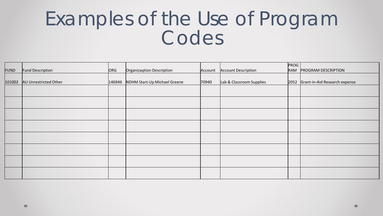|             |                              |        |                              |         |                            | PROG |                                    |
|-------------|------------------------------|--------|------------------------------|---------|----------------------------|------|------------------------------------|
| <b>FUND</b> | Fund Description             | ORG    | Organizaqtion Description    | Account | <b>Account Description</b> |      | RAM PROGRAM DESCRIPTION            |
|             |                              |        |                              |         |                            |      |                                    |
|             | 101002 AU Unrestricted Other | 146946 | NDHM Start-Up Michael Greene | 70940   | Lab & Classroom Supplies   |      | 2052 Grant-in-Aid Research expense |
|             |                              |        |                              |         |                            |      |                                    |
|             |                              |        |                              |         |                            |      |                                    |
|             |                              |        |                              |         |                            |      |                                    |
|             |                              |        |                              |         |                            |      |                                    |
|             |                              |        |                              |         |                            |      |                                    |
|             |                              |        |                              |         |                            |      |                                    |
|             |                              |        |                              |         |                            |      |                                    |
|             |                              |        |                              |         |                            |      |                                    |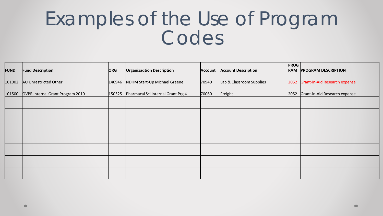|             |                                         |            |                                    |         |                            | <b>PROG</b> |                                    |
|-------------|-----------------------------------------|------------|------------------------------------|---------|----------------------------|-------------|------------------------------------|
| <b>FUND</b> | <b>Fund Description</b>                 | <b>ORG</b> | <b>Organizaqtion Description</b>   | Account | <b>Account Description</b> |             | <b>RAM PROGRAM DESCRIPTION</b>     |
|             |                                         |            |                                    |         |                            |             |                                    |
|             | 101002 AU Unrestricted Other            | 146946     | NDHM Start-Up Michael Greene       | 70940   | Lab & Classroom Supplies   |             | 2052 Grant-in-Aid Research expense |
|             |                                         |            |                                    |         |                            |             |                                    |
|             | 101500 OVPR Internal Grant Program 2010 | 150325     | Pharmacal Sci Internal Grant Prg 4 | 70060   | Freight                    |             | 2052 Grant-in-Aid Research expense |
|             |                                         |            |                                    |         |                            |             |                                    |
|             |                                         |            |                                    |         |                            |             |                                    |
|             |                                         |            |                                    |         |                            |             |                                    |
|             |                                         |            |                                    |         |                            |             |                                    |
|             |                                         |            |                                    |         |                            |             |                                    |
|             |                                         |            |                                    |         |                            |             |                                    |
|             |                                         |            |                                    |         |                            |             |                                    |
|             |                                         |            |                                    |         |                            |             |                                    |
|             |                                         |            |                                    |         |                            |             |                                    |
|             |                                         |            |                                    |         |                            |             |                                    |
|             |                                         |            |                                    |         |                            |             |                                    |
|             |                                         |            |                                    |         |                            |             |                                    |
|             |                                         |            |                                    |         |                            |             |                                    |
|             |                                         |            |                                    |         |                            |             |                                    |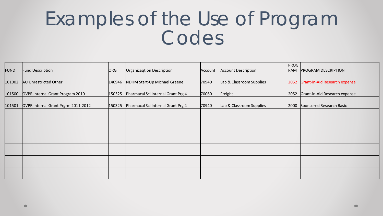|             |                                            |        |                                    |         |                            | <b>PROG</b> |                                    |
|-------------|--------------------------------------------|--------|------------------------------------|---------|----------------------------|-------------|------------------------------------|
| <b>FUND</b> | <b>Fund Description</b>                    | ORG    | Organizaqtion Description          | Account | <b>Account Description</b> |             | RAM PROGRAM DESCRIPTION            |
|             |                                            |        |                                    |         |                            |             |                                    |
|             | 101002 AU Unrestricted Other               | 146946 | NDHM Start-Up Michael Greene       | 70940   | Lab & Classroom Supplies   |             | 2052 Grant-in-Aid Research expense |
|             |                                            |        |                                    |         |                            |             |                                    |
| 101500      | OVPR Internal Grant Program 2010           | 150325 | Pharmacal Sci Internal Grant Prg 4 | 70060   | Freight                    |             | 2052 Grant-in-Aid Research expense |
|             |                                            |        |                                    |         |                            |             |                                    |
|             | 101501 OVPR Internal Grant Prgrm 2011-2012 | 150325 | Pharmacal Sci Internal Grant Prg 4 | 70940   | Lab & Classroom Supplies   |             | 2000 Sponsored Research Basic      |
|             |                                            |        |                                    |         |                            |             |                                    |
|             |                                            |        |                                    |         |                            |             |                                    |
|             |                                            |        |                                    |         |                            |             |                                    |
|             |                                            |        |                                    |         |                            |             |                                    |
|             |                                            |        |                                    |         |                            |             |                                    |
|             |                                            |        |                                    |         |                            |             |                                    |
|             |                                            |        |                                    |         |                            |             |                                    |
|             |                                            |        |                                    |         |                            |             |                                    |
|             |                                            |        |                                    |         |                            |             |                                    |
|             |                                            |        |                                    |         |                            |             |                                    |
|             |                                            |        |                                    |         |                            |             |                                    |
|             |                                            |        |                                    |         |                            |             |                                    |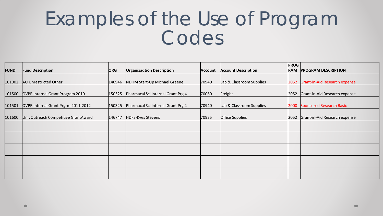|             |                                     |            |                                    |                |                            | <b>PROG</b> |                                    |
|-------------|-------------------------------------|------------|------------------------------------|----------------|----------------------------|-------------|------------------------------------|
| <b>FUND</b> | <b>Fund Description</b>             | <b>ORG</b> | <b>Organizaqtion Description</b>   | <b>Account</b> | <b>Account Description</b> |             | <b>RAM PROGRAM DESCRIPTION</b>     |
|             |                                     |            |                                    |                |                            |             |                                    |
| 101002      | <b>AU Unrestricted Other</b>        | 146946     | NDHM Start-Up Michael Greene       | 70940          | Lab & Classroom Supplies   |             | 2052 Grant-in-Aid Research expense |
|             |                                     |            |                                    |                |                            |             |                                    |
| 101500      | OVPR Internal Grant Program 2010    | 150325     | Pharmacal Sci Internal Grant Prg 4 | 70060          | Freight                    |             | 2052 Grant-in-Aid Research expense |
|             |                                     |            |                                    |                |                            |             |                                    |
| 101501      | OVPR Internal Grant Prgrm 2011-2012 | 150325     | Pharmacal Sci Internal Grant Prg 4 | 70940          | Lab & Classroom Supplies   |             | 2000 Sponsored Research Basic      |
|             |                                     |            |                                    |                |                            |             |                                    |
| 101600      | UnivOutreach Competitive GrantAward | 146747     | HDFS-Kyes Stevens                  | 70935          | Office Supplies            |             | 2052 Grant-in-Aid Research expense |
|             |                                     |            |                                    |                |                            |             |                                    |
|             |                                     |            |                                    |                |                            |             |                                    |
|             |                                     |            |                                    |                |                            |             |                                    |
|             |                                     |            |                                    |                |                            |             |                                    |
|             |                                     |            |                                    |                |                            |             |                                    |
|             |                                     |            |                                    |                |                            |             |                                    |
|             |                                     |            |                                    |                |                            |             |                                    |
|             |                                     |            |                                    |                |                            |             |                                    |
|             |                                     |            |                                    |                |                            |             |                                    |
|             |                                     |            |                                    |                |                            |             |                                    |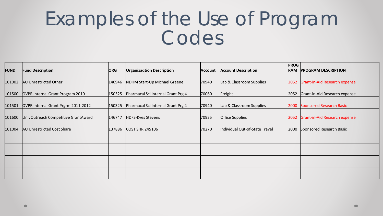|             |                                     |            |                                    |                |                                | <b>PROG</b> |                                    |
|-------------|-------------------------------------|------------|------------------------------------|----------------|--------------------------------|-------------|------------------------------------|
| <b>FUND</b> | <b>Fund Description</b>             | <b>ORG</b> | <b>Organizagtion Description</b>   | <b>Account</b> | <b>Account Description</b>     |             | <b>RAM PROGRAM DESCRIPTION</b>     |
|             |                                     |            |                                    |                |                                |             |                                    |
| 101002      | AU Unrestricted Other               | 146946     | NDHM Start-Up Michael Greene       | 70940          | Lab & Classroom Supplies       |             | 2052 Grant-in-Aid Research expense |
|             |                                     |            |                                    |                |                                |             |                                    |
| 101500      | OVPR Internal Grant Program 2010    | 150325     | Pharmacal Sci Internal Grant Prg 4 | 70060          | Freight                        |             | 2052 Grant-in-Aid Research expense |
|             |                                     |            |                                    |                |                                |             |                                    |
| 101501      | OVPR Internal Grant Prgrm 2011-2012 | 150325     | Pharmacal Sci Internal Grant Prg 4 | 70940          | Lab & Classroom Supplies       |             | 2000 Sponsored Research Basic      |
|             |                                     |            |                                    |                |                                |             |                                    |
| 101600      | UnivOutreach Competitive GrantAward | 146747     | HDFS-Kyes Stevens                  | 70935          | Office Supplies                |             | 2052 Grant-in-Aid Research expense |
|             |                                     |            |                                    |                |                                |             |                                    |
| 101004      | <b>AU Unrestricted Cost Share</b>   | 137886     | <b>COST SHR 245106</b>             | 70270          | Individual Out-of-State Travel |             | 2000 Sponsored Research Basic      |
|             |                                     |            |                                    |                |                                |             |                                    |
|             |                                     |            |                                    |                |                                |             |                                    |
|             |                                     |            |                                    |                |                                |             |                                    |
|             |                                     |            |                                    |                |                                |             |                                    |
|             |                                     |            |                                    |                |                                |             |                                    |
|             |                                     |            |                                    |                |                                |             |                                    |
|             |                                     |            |                                    |                |                                |             |                                    |
|             |                                     |            |                                    |                |                                |             |                                    |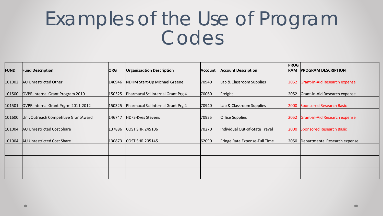|             |                                            |            |                                    |         |                                | <b>PROG</b> |                                     |
|-------------|--------------------------------------------|------------|------------------------------------|---------|--------------------------------|-------------|-------------------------------------|
| <b>FUND</b> | <b>Fund Description</b>                    | <b>ORG</b> | <b>Organizagtion Description</b>   | Account | <b>Account Description</b>     | <b>RAM</b>  | <b>PROGRAM DESCRIPTION</b>          |
|             |                                            |            |                                    |         |                                |             |                                     |
| 101002      | <b>AU Unrestricted Other</b>               | 146946     | NDHM Start-Up Michael Greene       | 70940   | Lab & Classroom Supplies       |             | 2052 Grant-in-Aid Research expense  |
|             |                                            |            |                                    |         |                                |             |                                     |
| 101500      | OVPR Internal Grant Program 2010           | 150325     | Pharmacal Sci Internal Grant Prg 4 | 70060   | Freight                        |             | 2052 Grant-in-Aid Research expense  |
|             |                                            |            |                                    |         |                                |             |                                     |
|             | 101501 OVPR Internal Grant Prgrm 2011-2012 | 150325     | Pharmacal Sci Internal Grant Prg 4 | 70940   | Lab & Classroom Supplies       |             | 2000 Sponsored Research Basic       |
|             |                                            |            |                                    |         |                                |             |                                     |
|             | 101600 UnivOutreach Competitive GrantAward | 146747     | <b>HDFS-Kyes Stevens</b>           | 70935   | Office Supplies                |             | 2052 Grant-in-Aid Research expense  |
|             |                                            |            |                                    |         |                                |             |                                     |
| 101004      | <b>AU Unrestricted Cost Share</b>          | 137886     | <b>COST SHR 245106</b>             | 70270   | Individual Out-of-State Travel |             | 2000 Sponsored Research Basic       |
|             |                                            |            |                                    |         |                                |             |                                     |
| 101004      | <b>AU Unrestricted Cost Share</b>          | 130873     | <b>COST SHR 205145</b>             | 62090   | Fringe Rate Expense-Full Time  |             | 2050  Departmental Research expense |
|             |                                            |            |                                    |         |                                |             |                                     |
|             |                                            |            |                                    |         |                                |             |                                     |
|             |                                            |            |                                    |         |                                |             |                                     |
|             |                                            |            |                                    |         |                                |             |                                     |
|             |                                            |            |                                    |         |                                |             |                                     |
|             |                                            |            |                                    |         |                                |             |                                     |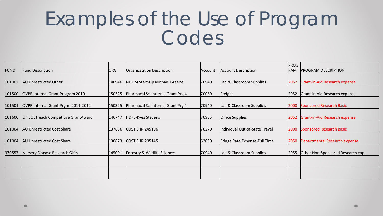|                  |                                     |        |                                    |         |                                | <b>PROG</b> |                                      |
|------------------|-------------------------------------|--------|------------------------------------|---------|--------------------------------|-------------|--------------------------------------|
| <b>FUND</b>      | <b>Fund Description</b>             | ORG    | Organizagtion Description          | Account | <b>Account Description</b>     | RAM         | <b>PROGRAM DESCRIPTION</b>           |
|                  |                                     |        |                                    |         |                                |             |                                      |
| 101002           | AU Unrestricted Other               | 146946 | NDHM Start-Up Michael Greene       | 70940   | Lab & Classroom Supplies       |             | 2052 Grant-in-Aid Research expense   |
|                  |                                     |        |                                    |         |                                |             |                                      |
| 101500           | OVPR Internal Grant Program 2010    | 150325 | Pharmacal Sci Internal Grant Prg 4 | 70060   | Freight                        | 2052        | Grant-in-Aid Research expense        |
|                  |                                     |        |                                    |         |                                |             |                                      |
| $ 101501\rangle$ | OVPR Internal Grant Prgrm 2011-2012 | 150325 | Pharmacal Sci Internal Grant Prg 4 | 70940   | Lab & Classroom Supplies       | 2000        | <b>Sponsored Research Basic</b>      |
|                  |                                     |        |                                    |         |                                |             |                                      |
| 101600           | UnivOutreach Competitive GrantAward | 146747 | <b>HDFS-Kyes Stevens</b>           | 70935   | <b>Office Supplies</b>         |             | 2052 Grant-in-Aid Research expense   |
|                  |                                     |        |                                    |         |                                |             |                                      |
| 101004           | <b>AU Unrestricted Cost Share</b>   | 137886 | <b>COST SHR 245106</b>             | 70270   | Individual Out-of-State Travel |             | 2000 Sponsored Research Basic        |
|                  |                                     |        |                                    |         |                                |             |                                      |
| 101004           | <b>AU Unrestricted Cost Share</b>   | 130873 | <b>COST SHR 205145</b>             | 62090   | Fringe Rate Expense-Full Time  |             | 2050   Departmental Research expense |
|                  |                                     |        |                                    |         |                                |             |                                      |
| 370557           | Nursery Disease Research Gifts      | 145001 | Forestry & Wildlife Sciences       | 70940   | Lab & Classroom Supplies       | 2055        | Other Non-Sponsored Research exp     |
|                  |                                     |        |                                    |         |                                |             |                                      |
|                  |                                     |        |                                    |         |                                |             |                                      |
|                  |                                     |        |                                    |         |                                |             |                                      |
|                  |                                     |        |                                    |         |                                |             |                                      |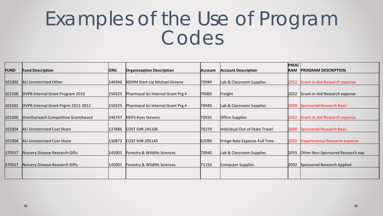|             |                                     |            |                                    |                |                                | <b>PROG</b> |                                      |
|-------------|-------------------------------------|------------|------------------------------------|----------------|--------------------------------|-------------|--------------------------------------|
| <b>FUND</b> | <b>Fund Description</b>             | <b>ORG</b> | <b>Organizagtion Description</b>   | <b>Account</b> | <b>Account Description</b>     | <b>RAM</b>  | <b>PROGRAM DESCRIPTION</b>           |
|             |                                     |            |                                    |                |                                |             |                                      |
| 101002      | <b>AU Unrestricted Other</b>        | 146946     | NDHM Start-Up Michael Greene       | 70940          | Lab & Classroom Supplies       |             | 2052 Grant-in-Aid Research expense   |
|             |                                     |            |                                    |                |                                |             |                                      |
| 101500      | OVPR Internal Grant Program 2010    | 150325     | Pharmacal Sci Internal Grant Prg 4 | 70060          | Freight                        | 2052        | Grant-in-Aid Research expense        |
|             |                                     |            |                                    |                |                                |             |                                      |
| 101501      | OVPR Internal Grant Prgrm 2011-2012 | 150325     | Pharmacal Sci Internal Grant Prg 4 | 70940          | Lab & Classroom Supplies       | 2000        | Sponsored Research Basic             |
|             |                                     |            |                                    |                |                                |             |                                      |
| 101600      | UnivOutreach Competitive GrantAward | 146747     | <b>HDFS-Kyes Stevens</b>           | 70935          | <b>Office Supplies</b>         |             | 2052 Grant-in-Aid Research expense   |
|             |                                     |            |                                    |                |                                |             |                                      |
| 101004      | <b>AU Unrestricted Cost Share</b>   | 137886     | <b>COST SHR 245106</b>             | 70270          | Individual Out-of-State Travel |             | 2000 Sponsored Research Basic        |
|             |                                     |            |                                    |                |                                |             |                                      |
| 101004      | <b>AU Unrestricted Cost Share</b>   | 130873     | <b>COST SHR 205145</b>             | 62090          | Fringe Rate Expense-Full Time  |             | 2050   Departmental Research expense |
|             |                                     |            |                                    |                |                                |             |                                      |
| 370557      | Nursery Disease Research Gifts      | 145001     | Forestry & Wildlife Sciences       | 70940          | Lab & Classroom Supplies       | 2055        | Other Non-Sponsored Research exp     |
|             |                                     |            |                                    |                |                                |             |                                      |
| 370557      | Nursery Disease Research Gifts      | 145001     | Forestry & Wildlife Sciences       | 71150          | Computer Supplies              |             | 2002 Sponsored Research Applied      |
|             |                                     |            |                                    |                |                                |             |                                      |
|             |                                     |            |                                    |                |                                |             |                                      |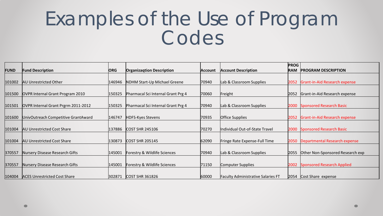|                  |                                     |            |                                    |                |                                           | <b>PROG</b> |                                    |
|------------------|-------------------------------------|------------|------------------------------------|----------------|-------------------------------------------|-------------|------------------------------------|
| <b>FUND</b>      | <b>Fund Description</b>             | <b>ORG</b> | <b>Organizagtion Description</b>   | <b>Account</b> | <b>Account Description</b>                | <b>RAM</b>  | <b>PROGRAM DESCRIPTION</b>         |
|                  |                                     |            |                                    |                |                                           |             |                                    |
| 101002           | <b>AU Unrestricted Other</b>        | 146946     | NDHM Start-Up Michael Greene       | 70940          | Lab & Classroom Supplies                  |             | 2052 Grant-in-Aid Research expense |
|                  |                                     |            |                                    |                |                                           |             |                                    |
| 101500           | OVPR Internal Grant Program 2010    | 150325     | Pharmacal Sci Internal Grant Prg 4 | 70060          | Freight                                   | 2052        | Grant-in-Aid Research expense      |
|                  |                                     |            |                                    |                |                                           |             |                                    |
| $ 101501\rangle$ | OVPR Internal Grant Prgrm 2011-2012 | 150325     | Pharmacal Sci Internal Grant Prg 4 | 70940          | Lab & Classroom Supplies                  | 2000        | <b>Sponsored Research Basic</b>    |
|                  |                                     |            |                                    |                |                                           |             |                                    |
| 101600           | UnivOutreach Competitive GrantAward | 146747     | HDFS-Kyes Stevens                  | 70935          | <b>Office Supplies</b>                    |             | 2052 Grant-in-Aid Research expense |
|                  |                                     |            |                                    |                |                                           |             |                                    |
| 101004           | <b>AU Unrestricted Cost Share</b>   | 137886     | <b>COST SHR 245106</b>             | 70270          | Individual Out-of-State Travel            |             | 2000 Sponsored Research Basic      |
|                  |                                     |            |                                    |                |                                           |             |                                    |
| 101004           | <b>AU Unrestricted Cost Share</b>   | 130873     | <b>COST SHR 205145</b>             | 62090          | Fringe Rate Expense-Full Time             |             | 2050 Departmental Research expense |
|                  |                                     |            |                                    |                |                                           |             |                                    |
| 370557           | Nursery Disease Research Gifts      | 145001     | Forestry & Wildlife Sciences       | 70940          | Lab & Classroom Supplies                  | 2055        | Other Non-Sponsored Research exp   |
|                  |                                     |            |                                    |                |                                           |             |                                    |
| 370557           | Nursery Disease Research Gifts      | 145001     | Forestry & Wildlife Sciences       | 71150          | Computer Supplies                         |             | 2002 Sponsored Research Applied    |
|                  |                                     |            |                                    |                |                                           |             |                                    |
| $ 104004\rangle$ | <b>ACES Unrestricted Cost Share</b> | 302871     | <b>COST SHR 361826</b>             | 60000          | <b>Faculty Administrative Salaries FT</b> |             | 2054 Cost Share expense            |